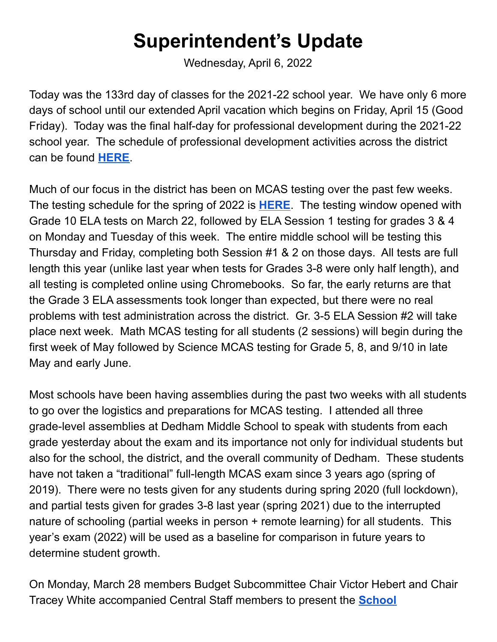## **Superintendent's Update**

Wednesday, April 6, 2022

Today was the 133rd day of classes for the 2021-22 school year. We have only 6 more days of school until our extended April vacation which begins on Friday, April 15 (Good Friday). Today was the final half-day for professional development during the 2021-22 school year. The schedule of professional development activities across the district can be found **[HERE](https://docs.google.com/document/d/1wlrotcB5n0bamm7iHtKWVN8eh37GpsXtenAoBMRKqCE/edit?usp=sharing)**.

Much of our focus in the district has been on MCAS testing over the past few weeks. The testing schedule for the spring of 2022 is **[HERE](https://sites.google.com/dedham.k12.ma.us/cia-families/assessment/mcas-testing)**. The testing window opened with Grade 10 ELA tests on March 22, followed by ELA Session 1 testing for grades 3 & 4 on Monday and Tuesday of this week. The entire middle school will be testing this Thursday and Friday, completing both Session #1 & 2 on those days. All tests are full length this year (unlike last year when tests for Grades 3-8 were only half length), and all testing is completed online using Chromebooks. So far, the early returns are that the Grade 3 ELA assessments took longer than expected, but there were no real problems with test administration across the district. Gr. 3-5 ELA Session #2 will take place next week. Math MCAS testing for all students (2 sessions) will begin during the first week of May followed by Science MCAS testing for Grade 5, 8, and 9/10 in late May and early June.

Most schools have been having assemblies during the past two weeks with all students to go over the logistics and preparations for MCAS testing. I attended all three grade-level assemblies at Dedham Middle School to speak with students from each grade yesterday about the exam and its importance not only for individual students but also for the school, the district, and the overall community of Dedham. These students have not taken a "traditional" full-length MCAS exam since 3 years ago (spring of 2019). There were no tests given for any students during spring 2020 (full lockdown), and partial tests given for grades 3-8 last year (spring 2021) due to the interrupted nature of schooling (partial weeks in person + remote learning) for all students. This year's exam (2022) will be used as a baseline for comparison in future years to determine student growth.

On Monday, March 28 members Budget Subcommittee Chair Victor Hebert and Chair Tracey White accompanied Central Staff members to present the **[School](https://drive.google.com/file/d/1Y3gpW88WET4AAYwP3cslKEwgoDbj_HnL/view?usp=sharing)**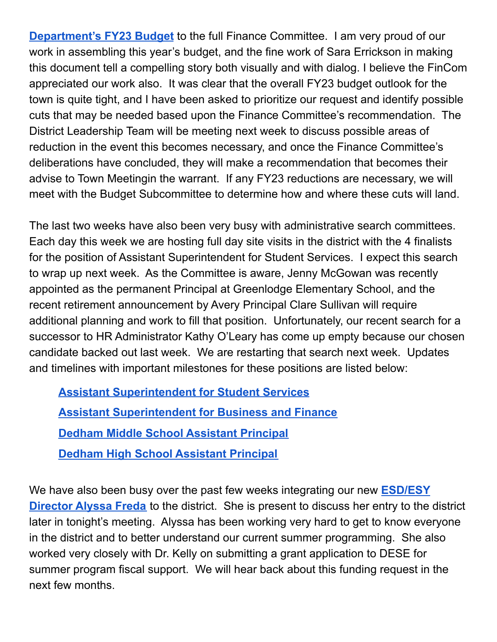**[Department's](https://drive.google.com/file/d/1Y3gpW88WET4AAYwP3cslKEwgoDbj_HnL/view?usp=sharing) FY23 Budget** to the full Finance Committee. I am very proud of our work in assembling this year's budget, and the fine work of Sara Errickson in making this document tell a compelling story both visually and with dialog. I believe the FinCom appreciated our work also. It was clear that the overall FY23 budget outlook for the town is quite tight, and I have been asked to prioritize our request and identify possible cuts that may be needed based upon the Finance Committee's recommendation. The District Leadership Team will be meeting next week to discuss possible areas of reduction in the event this becomes necessary, and once the Finance Committee's deliberations have concluded, they will make a recommendation that becomes their advise to Town Meetingin the warrant. If any FY23 reductions are necessary, we will meet with the Budget Subcommittee to determine how and where these cuts will land.

The last two weeks have also been very busy with administrative search committees. Each day this week we are hosting full day site visits in the district with the 4 finalists for the position of Assistant Superintendent for Student Services. I expect this search to wrap up next week. As the Committee is aware, Jenny McGowan was recently appointed as the permanent Principal at Greenlodge Elementary School, and the recent retirement announcement by Avery Principal Clare Sullivan will require additional planning and work to fill that position. Unfortunately, our recent search for a successor to HR Administrator Kathy O'Leary has come up empty because our chosen candidate backed out last week. We are restarting that search next week. Updates and timelines with important milestones for these positions are listed below:

**Assistant [Superintendent](https://drive.google.com/file/d/14nriJ3UxYt0jeF1cqsTvamgFlgc5jVwv/view?usp=sharing) for Student Services Assistant [Superintendent](https://docs.google.com/spreadsheets/d/1WQYjtpRX-3FF9_YPeHOECVvZ-8mYECV6RSl98SBpg0Y/edit?usp=sharing) for Business and Finance Dedham Middle School [Assistant](https://docs.google.com/spreadsheets/d/1ZAET9HJXU5yLTAUkhlLxw8Z8z8lpZ8wNeDp_g0tghR8/edit?usp=sharing) Principal Dedham High School [Assistant](https://docs.google.com/document/d/1hIORRDyp6PAjYoEsXyF86XgfHdB5cJcYz-3REGHLtCY/edit?usp=sharing) Principal**

We have also been busy over the past few weeks integrating our new **[ESD/ESY](https://drive.google.com/file/d/1ZI1FNb6LR5I1bTPQ_xoh_pmAO9K3FNkG/view) [Director](https://drive.google.com/file/d/1ZI1FNb6LR5I1bTPQ_xoh_pmAO9K3FNkG/view) Alyssa Freda** to the district. She is present to discuss her entry to the district later in tonight's meeting. Alyssa has been working very hard to get to know everyone in the district and to better understand our current summer programming. She also worked very closely with Dr. Kelly on submitting a grant application to DESE for summer program fiscal support. We will hear back about this funding request in the next few months.